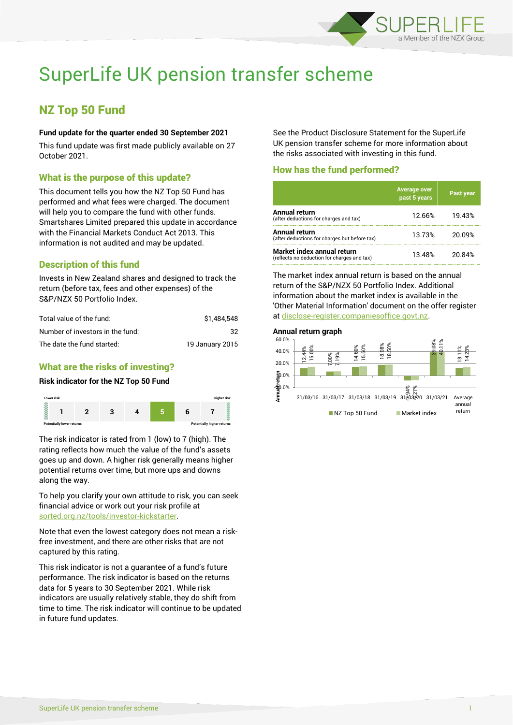

# SuperLife UK pension transfer scheme

# NZ Top 50 Fund

## **Fund update for the quarter ended 30 September 2021**

This fund update was first made publicly available on 27 October 2021.

# What is the purpose of this update?

This document tells you how the NZ Top 50 Fund has performed and what fees were charged. The document will help you to compare the fund with other funds. Smartshares Limited prepared this update in accordance with the Financial Markets Conduct Act 2013. This information is not audited and may be updated.

# Description of this fund

Invests in New Zealand shares and designed to track the return (before tax, fees and other expenses) of the S&P/NZX 50 Portfolio Index.

| Total value of the fund:         | \$1,484,548     |
|----------------------------------|-----------------|
| Number of investors in the fund: | 32.             |
| The date the fund started:       | 19 January 2015 |

# What are the risks of investing?

#### **Risk indicator for the NZ Top 50 Fund**



The risk indicator is rated from 1 (low) to 7 (high). The rating reflects how much the value of the fund's assets goes up and down. A higher risk generally means higher potential returns over time, but more ups and downs along the way.

To help you clarify your own attitude to risk, you can seek financial advice or work out your risk profile at [sorted.org.nz/tools/investor-kickstarter.](http://www.sorted.org.nz/tools/investor-kickstarter)

Note that even the lowest category does not mean a riskfree investment, and there are other risks that are not captured by this rating.

This risk indicator is not a guarantee of a fund's future performance. The risk indicator is based on the returns data for 5 years to 30 September 2021. While risk indicators are usually relatively stable, they do shift from time to time. The risk indicator will continue to be updated in future fund updates.

See the Product Disclosure Statement for the SuperLife UK pension transfer scheme for more information about the risks associated with investing in this fund.

# How has the fund performed?

|                                                                           | <b>Average over</b><br>past 5 years | Past year |
|---------------------------------------------------------------------------|-------------------------------------|-----------|
| Annual return<br>(after deductions for charges and tax)                   | 12.66%                              | 19.43%    |
| Annual return<br>(after deductions for charges but before tax)            | 13.73%                              | 20.09%    |
| Market index annual return<br>(reflects no deduction for charges and tax) | 13.48%                              | 20.84%    |

The market index annual return is based on the annual return of the S&P/NZX 50 Portfolio Index. Additional information about the market index is available in the 'Other Material Information' document on the offer register at [disclose-register.companiesoffice.govt.nz.](http://www.disclose-register.companiesoffice.govt.nz/)

#### **Annual return graph**

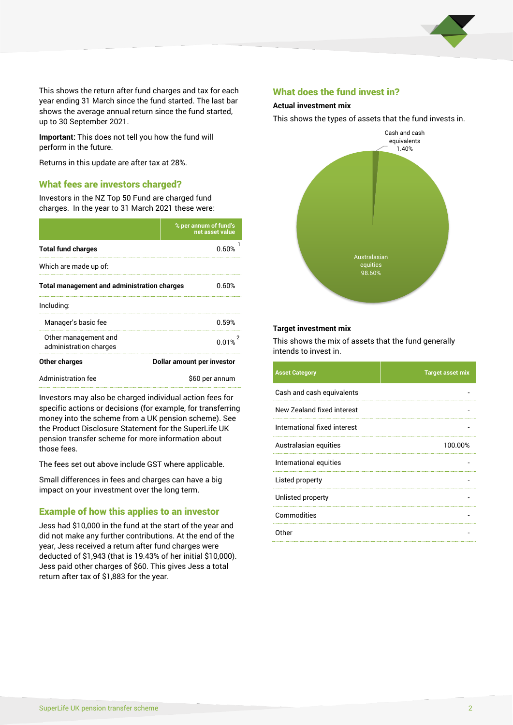

This shows the return after fund charges and tax for each year ending 31 March since the fund started. The last bar shows the average annual return since the fund started, up to 30 September 2021.

**Important:** This does not tell you how the fund will perform in the future.

Returns in this update are after tax at 28%.

# What fees are investors charged?

Investors in the NZ Top 50 Fund are charged fund charges. In the year to 31 March 2021 these were:

|                                                    | % per annum of fund's<br>net asset value |  |
|----------------------------------------------------|------------------------------------------|--|
| <b>Total fund charges</b>                          | <u>በ 60%</u>                             |  |
| Which are made up of:                              |                                          |  |
| <b>Total management and administration charges</b> | 0.60%                                    |  |
| Including:                                         |                                          |  |
| Manager's basic fee                                | በ 59%                                    |  |
| Other management and<br>administration charges     | 0.01%                                    |  |
| Other charges                                      | Dollar amount per investor               |  |
| Administration fee                                 | \$60 per annum                           |  |

Investors may also be charged individual action fees for specific actions or decisions (for example, for transferring money into the scheme from a UK pension scheme). See the Product Disclosure Statement for the SuperLife UK pension transfer scheme for more information about those fees.

The fees set out above include GST where applicable.

Small differences in fees and charges can have a big impact on your investment over the long term.

# Example of how this applies to an investor

Jess had \$10,000 in the fund at the start of the year and did not make any further contributions. At the end of the year, Jess received a return after fund charges were deducted of \$1,943 (that is 19.43% of her initial \$10,000). Jess paid other charges of \$60. This gives Jess a total return after tax of \$1,883 for the year.

# What does the fund invest in?

# **Actual investment mix**

This shows the types of assets that the fund invests in.



#### **Target investment mix**

This shows the mix of assets that the fund generally intends to invest in.

| <b>Asset Category</b>        | <b>Target asset mix</b> |
|------------------------------|-------------------------|
| Cash and cash equivalents    |                         |
| New Zealand fixed interest   |                         |
| International fixed interest |                         |
| Australasian equities        | 100.00%                 |
| International equities       |                         |
| Listed property              |                         |
| Unlisted property            |                         |
| Commodities                  |                         |
| Other                        |                         |